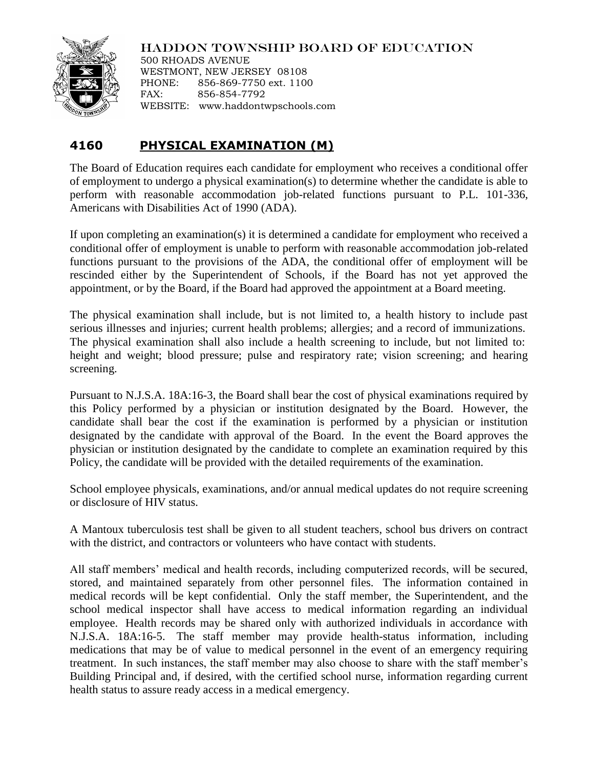

## HADDON TOWNSHIP BOARD OF EDUCATION

500 RHOADS AVENUE WESTMONT, NEW JERSEY 08108 PHONE: 856-869-7750 ext. 1100 FAX: 856-854-7792 WEBSITE: www.haddontwpschools.com

## **4160 PHYSICAL EXAMINATION (M)**

The Board of Education requires each candidate for employment who receives a conditional offer of employment to undergo a physical examination(s) to determine whether the candidate is able to perform with reasonable accommodation job-related functions pursuant to P.L. 101-336, Americans with Disabilities Act of 1990 (ADA).

If upon completing an examination(s) it is determined a candidate for employment who received a conditional offer of employment is unable to perform with reasonable accommodation job-related functions pursuant to the provisions of the ADA, the conditional offer of employment will be rescinded either by the Superintendent of Schools, if the Board has not yet approved the appointment, or by the Board, if the Board had approved the appointment at a Board meeting.

The physical examination shall include, but is not limited to, a health history to include past serious illnesses and injuries; current health problems; allergies; and a record of immunizations. The physical examination shall also include a health screening to include, but not limited to: height and weight; blood pressure; pulse and respiratory rate; vision screening; and hearing screening.

Pursuant to N.J.S.A. 18A:16-3, the Board shall bear the cost of physical examinations required by this Policy performed by a physician or institution designated by the Board. However, the candidate shall bear the cost if the examination is performed by a physician or institution designated by the candidate with approval of the Board. In the event the Board approves the physician or institution designated by the candidate to complete an examination required by this Policy, the candidate will be provided with the detailed requirements of the examination.

School employee physicals, examinations, and/or annual medical updates do not require screening or disclosure of HIV status.

A Mantoux tuberculosis test shall be given to all student teachers, school bus drivers on contract with the district, and contractors or volunteers who have contact with students.

All staff members' medical and health records, including computerized records, will be secured, stored, and maintained separately from other personnel files. The information contained in medical records will be kept confidential. Only the staff member, the Superintendent, and the school medical inspector shall have access to medical information regarding an individual employee. Health records may be shared only with authorized individuals in accordance with N.J.S.A. 18A:16-5. The staff member may provide health-status information, including medications that may be of value to medical personnel in the event of an emergency requiring treatment. In such instances, the staff member may also choose to share with the staff member's Building Principal and, if desired, with the certified school nurse, information regarding current health status to assure ready access in a medical emergency.